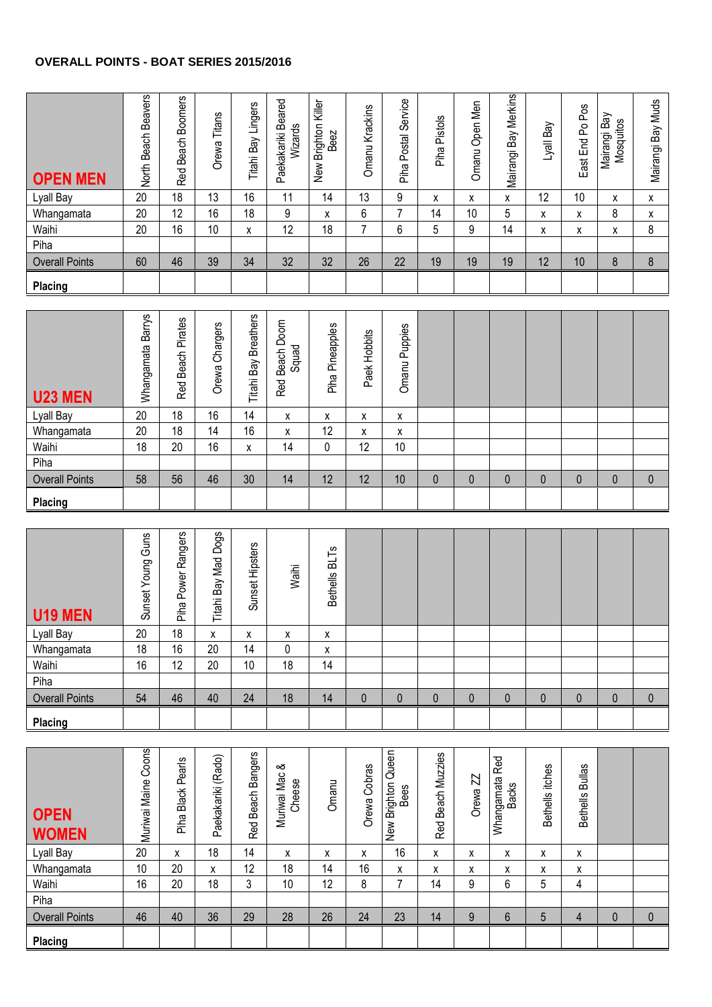## **OVERALL POINTS - BOAT SERIES 2015/2016**

| <b>OPEN MEN</b>       | <b>Beavers</b><br><b>Beach</b><br>North | <b>Boomers</b><br>Beach<br>Red | Titans<br>Orewa | Bay Lingers<br>Titahil | Paekakariki Beared<br>Wizards | Killer<br>Brighton I<br>Beez<br>New | Krackins<br>Omanu | Service<br>Postal<br>Piha | Pistols<br>Piha | Open Men<br>Omanu | Bay Merkins<br>Mairangi I | Bay<br>lle/J | Pos<br>$\mathsf{S}$<br>End<br>East | Bay<br>Mosquitos<br>Mairangi | Muds<br>Bay<br>Mairangi |
|-----------------------|-----------------------------------------|--------------------------------|-----------------|------------------------|-------------------------------|-------------------------------------|-------------------|---------------------------|-----------------|-------------------|---------------------------|--------------|------------------------------------|------------------------------|-------------------------|
| Lyall Bay             | 20                                      | 18                             | 13              | 16                     | 11                            | 14                                  | 13                | 9                         | X               | x                 | x                         | 12           | 10                                 | X                            | X                       |
| Whangamata            | 20                                      | 12                             | 16              | 18                     | 9                             | X                                   | 6                 | -                         | 14              | 10                | 5                         | X            | x                                  | 8                            | X                       |
| Waihi                 | 20                                      | 16                             | 10              | x                      | 12                            | 18                                  | $\overline{ }$    | 6                         | 5               | 9                 | 14                        | X            | x                                  | x                            | 8                       |
| Piha                  |                                         |                                |                 |                        |                               |                                     |                   |                           |                 |                   |                           |              |                                    |                              |                         |
| <b>Overall Points</b> | 60                                      | 46                             | 39              | 34                     | 32                            | 32                                  | 26                | 22                        | 19              | 19                | 19                        | 12           | 10                                 | 8                            | 8                       |
| Placing               |                                         |                                |                 |                        |                               |                                     |                   |                           |                 |                   |                           |              |                                    |                              |                         |

| <b>U23 MEN</b>        | <b>Barrys</b><br>Whangamata | Pirates<br>Beach<br>Red | Chargers<br>Orewa | Titahi Bay Breathers | Doom<br>Squad<br>Beach<br>Red | Pineapples<br>Piha | Hobbits<br>Paek | Puppies<br>Omanu |              |   |              |   |   |             |             |
|-----------------------|-----------------------------|-------------------------|-------------------|----------------------|-------------------------------|--------------------|-----------------|------------------|--------------|---|--------------|---|---|-------------|-------------|
| Lyall Bay             | 20                          | 18                      | 16                | 14                   | x                             | x                  | x               | x                |              |   |              |   |   |             |             |
| Whangamata            | 20                          | 18                      | 14                | 16                   | x                             | 12                 | x               | x                |              |   |              |   |   |             |             |
| Waihi                 | 18                          | 20                      | 16                | x                    | 14                            | 0                  | 12              | 10               |              |   |              |   |   |             |             |
| Piha                  |                             |                         |                   |                      |                               |                    |                 |                  |              |   |              |   |   |             |             |
| <b>Overall Points</b> | 58                          | 56                      | 46                | 30                   | 14                            | 12                 | 12              | 10               | $\mathbf{0}$ | 0 | $\mathbf{0}$ | 0 | 0 | $\mathbf 0$ | $\mathbf 0$ |
| Placing               |                             |                         |                   |                      |                               |                    |                 |                  |              |   |              |   |   |             |             |

| <b>U19 MEN</b>        | Guns<br>Young<br>Sunset | Rangers<br>Power<br>Piha | Dogs<br>Mad<br>Bay<br>Titahi | Hipsters<br>Sunset I | Waihi | ۱ë<br>ಹ<br><b>Bethells</b> |          |              |             |              |              |   |             |             |             |
|-----------------------|-------------------------|--------------------------|------------------------------|----------------------|-------|----------------------------|----------|--------------|-------------|--------------|--------------|---|-------------|-------------|-------------|
| Lyall Bay             | 20                      | 18                       | X                            | x                    | X     | x                          |          |              |             |              |              |   |             |             |             |
| Whangamata            | 18                      | 16                       | 20                           | 14                   | 0     | x                          |          |              |             |              |              |   |             |             |             |
| Waihi                 | 16                      | 12                       | 20                           | 10                   | 18    | 14                         |          |              |             |              |              |   |             |             |             |
| Piha                  |                         |                          |                              |                      |       |                            |          |              |             |              |              |   |             |             |             |
| <b>Overall Points</b> | 54                      | 46                       | 40                           | 24                   | 18    | 14                         | $\Omega$ | $\mathbf{0}$ | $\mathbf 0$ | $\mathbf{0}$ | $\mathbf{0}$ | 0 | $\mathbf 0$ | $\mathbf 0$ | $\mathbf 0$ |
| Placing               |                         |                          |                              |                      |       |                            |          |              |             |              |              |   |             |             |             |

| <b>OPEN</b><br><b>WOMEN</b> | Coons<br>Maine<br>Muriwai l | Pearls<br>Black<br>Piha | (Rado)<br>Paekakariki | <b>Bangers</b><br>Red Beach | య<br>Muriwai Mac<br>Cheese | Omanu | Cobras<br>Orewa | Queen<br>New Brighton<br>Bees | <b>Muzzies</b><br>Beach<br>Red | N<br>Orewa | Red<br>Whangamata<br>Backs | itches<br><b>Bethells</b> | <b>Bullas</b><br><b>Bethells</b> |              |              |
|-----------------------------|-----------------------------|-------------------------|-----------------------|-----------------------------|----------------------------|-------|-----------------|-------------------------------|--------------------------------|------------|----------------------------|---------------------------|----------------------------------|--------------|--------------|
| Lyall Bay                   | 20                          | X                       | 18                    | 14                          | x                          | x     | X               | 16                            | X                              | X          | x                          | x                         | X                                |              |              |
| Whangamata                  | 10                          | 20                      | x                     | 12                          | 18                         | 14    | 16              | X                             | x                              | x          | x                          | x                         | X                                |              |              |
| Waihi                       | 16                          | 20                      | 18                    | 3                           | 10                         | 12    | 8               |                               | 14                             | 9          | 6                          | 5                         | 4                                |              |              |
| Piha                        |                             |                         |                       |                             |                            |       |                 |                               |                                |            |                            |                           |                                  |              |              |
| <b>Overall Points</b>       | 46                          | 40                      | 36                    | 29                          | 28                         | 26    | 24              | 23                            | 14                             | 9          | 6                          | 5                         | 4                                | $\mathbf{0}$ | $\mathbf{0}$ |
| Placing                     |                             |                         |                       |                             |                            |       |                 |                               |                                |            |                            |                           |                                  |              |              |